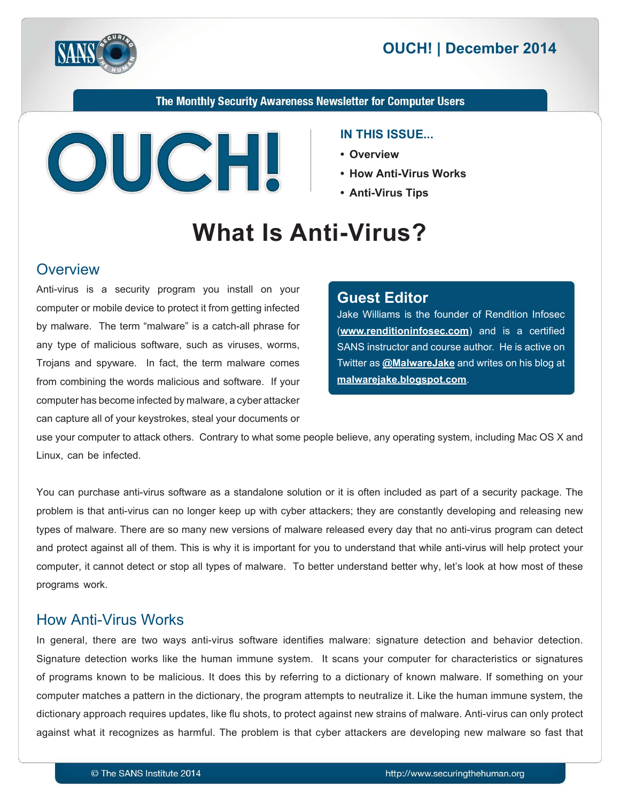

## **2014 December 2014**

The Monthly Security Awareness Newsletter for Computer Users



#### **IN THIS ISSUE...**

- **Overview•**
- How Anti-Virus Works
- **Anti-Virus Tips**

# **What Is Anti-Virus?**

#### **Overview**

Anti-virus is a security program you install on your computer or mobile device to protect it from getting infected by malware. The term "malware" is a catch-all phrase for any type of malicious software, such as viruses, worms, Trojans and spyware. In fact, the term malware comes from combining the words malicious and software. If your computer has become infected by malware, a cyber attacker can capture all of your keystrokes, steal your documents or

#### **Editor Guest**

Jake Williams is the founder of Rendition Infosec (www.renditioninfosec.com) and is a certified SANS instructor and course author. He is active on Twitter as @[MalwareJake](https://twitter.com/malwarejake) and writes on his blog at malwarejake.blogspot.com.

use your computer to attack others. Contrary to what some people believe, any operating system, including Mac OS X and Linux, can be infected.

You can purchase anti-virus software as a standalone solution or it is often included as part of a security package. The problem is that anti-virus can no longer keep up with cyber attackers; they are constantly developing and releasing new types of malware. There are so many new versions of malware released every day that no anti-virus program can detect and protect against all of them. This is why it is important for you to understand that while anti-virus will help protect your computer, it cannot detect or stop all types of malware. To better understand better why, let's look at how most of these programs work.

#### How Anti-Virus Works

In general, there are two ways anti-virus software identifies malware: signature detection and behavior detection. Signature detection works like the human immune system. It scans your computer for characteristics or signatures of programs known to be malicious. It does this by referring to a dictionary of known malware. If something on your computer matches a pattern in the dictionary, the program attempts to neutralize it. Like the human immune system, the dictionary approach requires updates, like flu shots, to protect against new strains of malware. Anti-virus can only protect against what it recognizes as harmful. The problem is that cyber attackers are developing new malware so fast that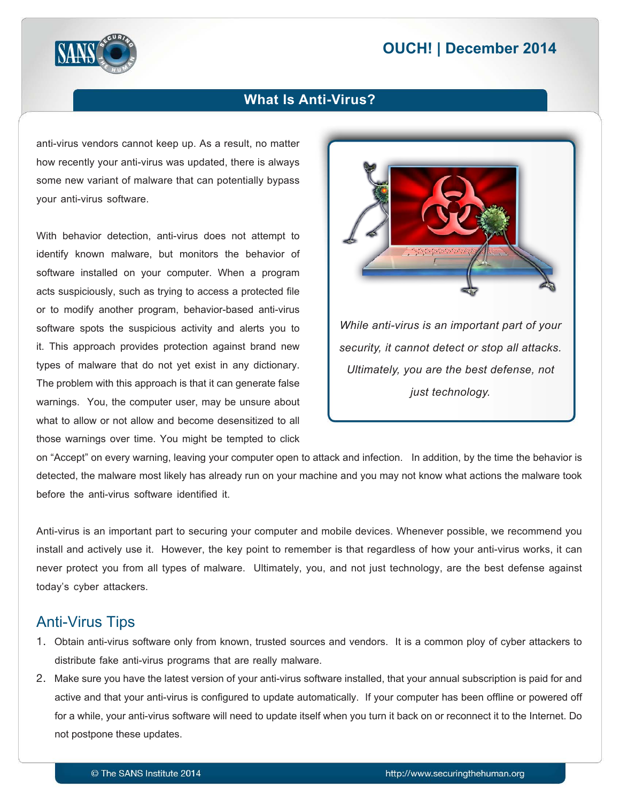# **2014 December 2014**



#### **What Is Anti-Virus?**

anti-virus vendors cannot keep up. As a result, no matter how recently your anti-virus was updated, there is always some new variant of malware that can potentially bypass your anti-virus software.

With behavior detection, anti-virus does not attempt to identify known malware, but monitors the behavior of software installed on your computer. When a program acts suspiciously, such as trying to access a protected file or to modify another program, behavior-based anti-virus software spots the suspicious activity and alerts you to it. This approach provides protection against brand new types of malware that do not yet exist in any dictionary. The problem with this approach is that it can generate false warnings. You, the computer user, may be unsure about what to allow or not allow and become desensitized to all those warnings over time. You might be tempted to click



on "Accept" on every warning, leaving your computer open to attack and infection. In addition, by the time the behavior is detected, the malware most likely has already run on your machine and you may not know what actions the malware took before the anti-virus software identified it.

Anti-virus is an important part to securing your computer and mobile devices. Whenever possible, we recommend you install and actively use it. However, the key point to remember is that regardless of how your anti-virus works, it can never protect you from all types of malware. Ultimately, you, and not just technology, are the best defense against today's cyber attackers.

#### **Anti-Virus Tips**

- 1. Obtain anti-virus software only from known, trusted sources and vendors. It is a common ploy of cyber attackers to distribute fake anti-virus programs that are really malware.
- 2. Make sure you have the latest version of your anti-virus software installed, that your annual subscription is paid for and active and that your anti-virus is configured to update automatically. If your computer has been offline or powered off for a while, your anti-virus software will need to update itself when you turn it back on or reconnect it to the Internet. Do not postpone these updates.